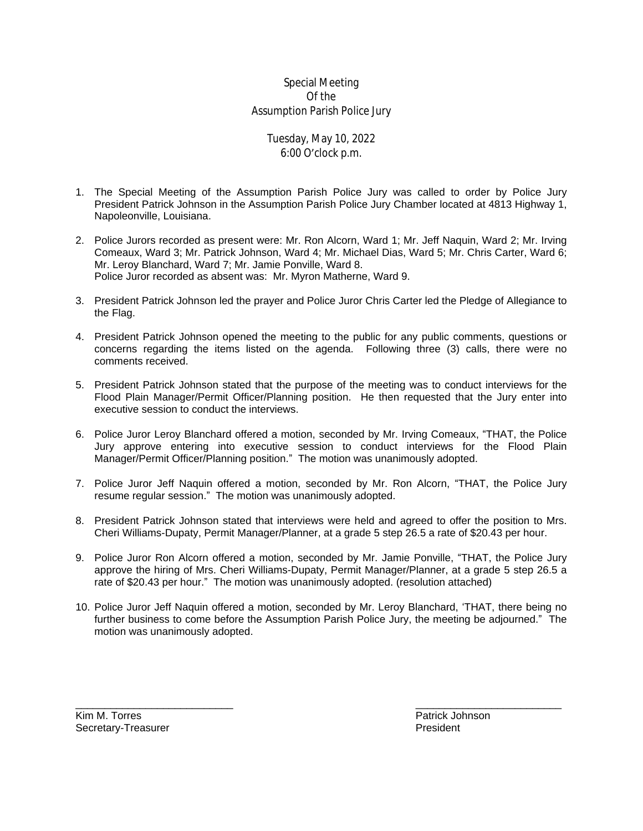## Special Meeting Of the Assumption Parish Police Jury

## Tuesday, May 10, 2022 6:00 O'clock p.m.

- 1. The Special Meeting of the Assumption Parish Police Jury was called to order by Police Jury President Patrick Johnson in the Assumption Parish Police Jury Chamber located at 4813 Highway 1, Napoleonville, Louisiana.
- 2. Police Jurors recorded as present were: Mr. Ron Alcorn, Ward 1; Mr. Jeff Naquin, Ward 2; Mr. Irving Comeaux, Ward 3; Mr. Patrick Johnson, Ward 4; Mr. Michael Dias, Ward 5; Mr. Chris Carter, Ward 6; Mr. Leroy Blanchard, Ward 7; Mr. Jamie Ponville, Ward 8. Police Juror recorded as absent was: Mr. Myron Matherne, Ward 9.
- 3. President Patrick Johnson led the prayer and Police Juror Chris Carter led the Pledge of Allegiance to the Flag.
- 4. President Patrick Johnson opened the meeting to the public for any public comments, questions or concerns regarding the items listed on the agenda. Following three (3) calls, there were no comments received.
- 5. President Patrick Johnson stated that the purpose of the meeting was to conduct interviews for the Flood Plain Manager/Permit Officer/Planning position. He then requested that the Jury enter into executive session to conduct the interviews.
- 6. Police Juror Leroy Blanchard offered a motion, seconded by Mr. Irving Comeaux, "THAT, the Police Jury approve entering into executive session to conduct interviews for the Flood Plain Manager/Permit Officer/Planning position." The motion was unanimously adopted.
- 7. Police Juror Jeff Naquin offered a motion, seconded by Mr. Ron Alcorn, "THAT, the Police Jury resume regular session." The motion was unanimously adopted.
- 8. President Patrick Johnson stated that interviews were held and agreed to offer the position to Mrs. Cheri Williams-Dupaty, Permit Manager/Planner, at a grade 5 step 26.5 a rate of \$20.43 per hour.
- 9. Police Juror Ron Alcorn offered a motion, seconded by Mr. Jamie Ponville, "THAT, the Police Jury approve the hiring of Mrs. Cheri Williams-Dupaty, Permit Manager/Planner, at a grade 5 step 26.5 a rate of \$20.43 per hour." The motion was unanimously adopted. (resolution attached)
- 10. Police Juror Jeff Naquin offered a motion, seconded by Mr. Leroy Blanchard, 'THAT, there being no further business to come before the Assumption Parish Police Jury, the meeting be adjourned." The motion was unanimously adopted.

 $\frac{1}{2}$  , the contribution of the contribution of the contribution of the contribution of the contribution of the contribution of the contribution of the contribution of the contribution of the contribution of the contr

Kim M. Torres **Example 2018** Secretary-Treasurer **Patrick Johnson**<br>
Secretary-Treasurer **Patrick Johnson** Secretary-Treasurer